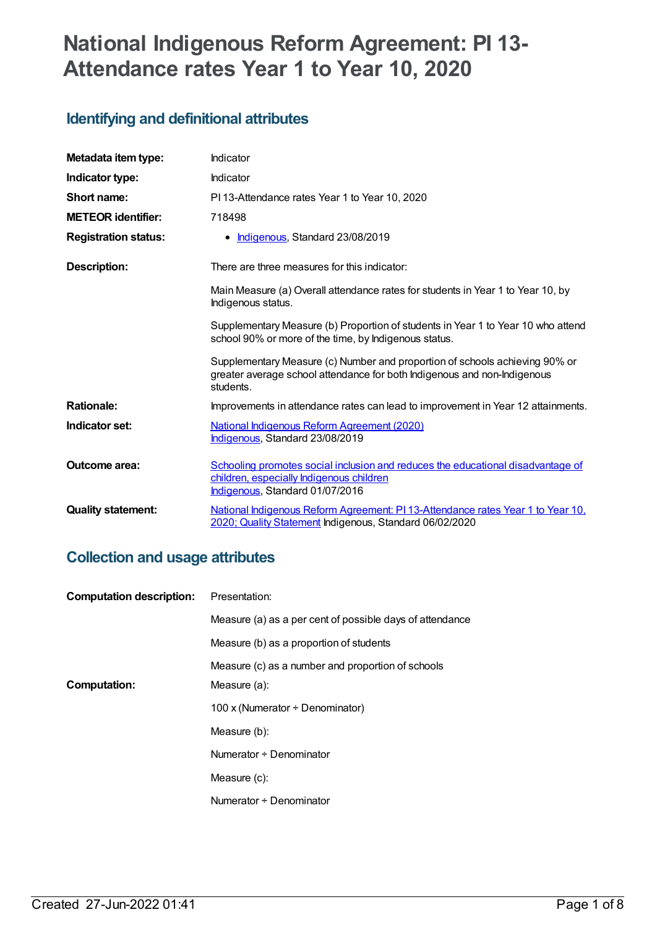# **National Indigenous Reform Agreement: PI 13- Attendance rates Year 1 to Year 10, 2020**

# **Identifying and definitional attributes**

| Metadata item type:         | Indicator                                                                                                                                                            |
|-----------------------------|----------------------------------------------------------------------------------------------------------------------------------------------------------------------|
| Indicator type:             | Indicator                                                                                                                                                            |
| Short name:                 | PI 13-Attendance rates Year 1 to Year 10, 2020                                                                                                                       |
| <b>METEOR identifier:</b>   | 718498                                                                                                                                                               |
| <b>Registration status:</b> | • Indigenous, Standard 23/08/2019                                                                                                                                    |
| Description:                | There are three measures for this indicator:                                                                                                                         |
|                             | Main Measure (a) Overall attendance rates for students in Year 1 to Year 10, by<br>Indigenous status.                                                                |
|                             | Supplementary Measure (b) Proportion of students in Year 1 to Year 10 who attend<br>school 90% or more of the time, by Indigenous status.                            |
|                             | Supplementary Measure (c) Number and proportion of schools achieving 90% or<br>greater average school attendance for both Indigenous and non-Indigenous<br>students. |
| <b>Rationale:</b>           | Improvements in attendance rates can lead to improvement in Year 12 attainments.                                                                                     |
| Indicator set:              | <b>National Indigenous Reform Agreement (2020)</b><br>Indigenous, Standard 23/08/2019                                                                                |
| <b>Outcome area:</b>        | Schooling promotes social inclusion and reduces the educational disadvantage of<br>children, especially Indigenous children<br>Indigenous, Standard 01/07/2016       |
| <b>Quality statement:</b>   | National Indigenous Reform Agreement: PI 13-Attendance rates Year 1 to Year 10,<br>2020; Quality Statement Indigenous, Standard 06/02/2020                           |

# **Collection and usage attributes**

| <b>Computation description:</b> | Presentation:                                            |
|---------------------------------|----------------------------------------------------------|
|                                 | Measure (a) as a per cent of possible days of attendance |
|                                 | Measure (b) as a proportion of students                  |
|                                 | Measure (c) as a number and proportion of schools        |
| <b>Computation:</b>             | Measure (a):                                             |
|                                 | 100 x (Numerator ÷ Denominator)                          |
|                                 | Measure (b):                                             |
|                                 | Numerator + Denominator                                  |
|                                 | Measure (c):                                             |
|                                 | Numerator ÷ Denominator                                  |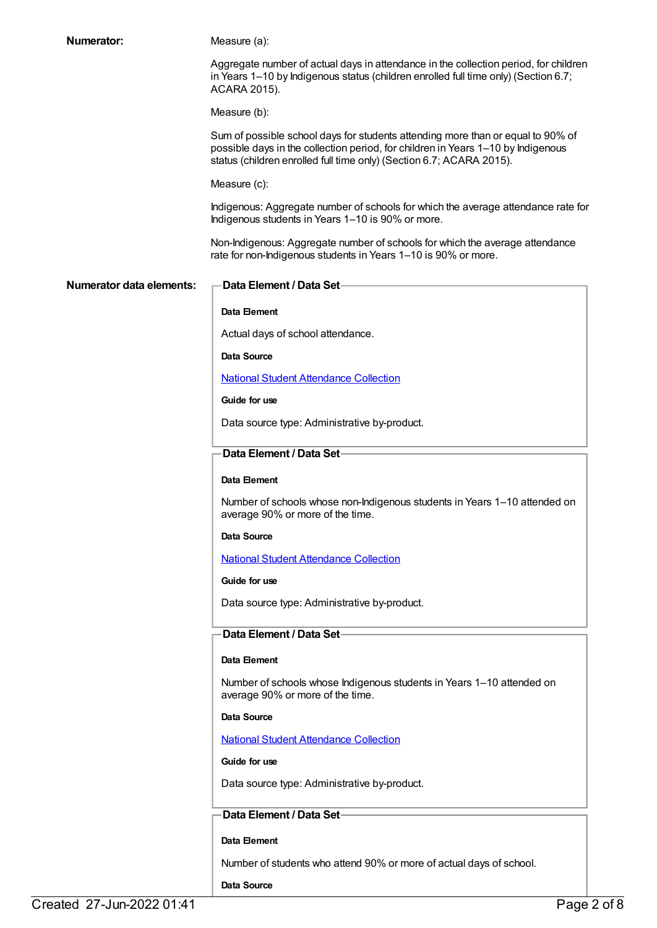| Numerator:               | Measure (a):                                                                                                                                                                                                                                |
|--------------------------|---------------------------------------------------------------------------------------------------------------------------------------------------------------------------------------------------------------------------------------------|
|                          | Aggregate number of actual days in attendance in the collection period, for children<br>in Years 1-10 by Indigenous status (children enrolled full time only) (Section 6.7;<br>ACARA 2015).                                                 |
|                          | Measure (b):                                                                                                                                                                                                                                |
|                          | Sum of possible school days for students attending more than or equal to 90% of<br>possible days in the collection period, for children in Years 1-10 by Indigenous<br>status (children enrolled full time only) (Section 6.7; ACARA 2015). |
|                          | Measure (c):                                                                                                                                                                                                                                |
|                          | Indigenous: Aggregate number of schools for which the average attendance rate for<br>Indigenous students in Years 1-10 is 90% or more.                                                                                                      |
|                          | Non-Indigenous: Aggregate number of schools for which the average attendance<br>rate for non-Indigenous students in Years 1-10 is 90% or more.                                                                                              |
| Numerator data elements: | Data Element / Data Set-                                                                                                                                                                                                                    |
|                          | Data Element                                                                                                                                                                                                                                |
|                          | Actual days of school attendance.                                                                                                                                                                                                           |
|                          | Data Source                                                                                                                                                                                                                                 |
|                          | <b>National Student Attendance Collection</b>                                                                                                                                                                                               |
|                          | Guide for use                                                                                                                                                                                                                               |
|                          | Data source type: Administrative by-product.                                                                                                                                                                                                |
|                          | Data Element / Data Set-                                                                                                                                                                                                                    |
|                          | Data Element                                                                                                                                                                                                                                |
|                          | Number of schools whose non-Indigenous students in Years 1-10 attended on<br>average 90% or more of the time.                                                                                                                               |
|                          | Data Source                                                                                                                                                                                                                                 |
|                          | <b>National Student Attendance Collection</b>                                                                                                                                                                                               |
|                          | Guide for use                                                                                                                                                                                                                               |
|                          | Data source type: Administrative by-product.                                                                                                                                                                                                |
|                          | Data Element / Data Set-                                                                                                                                                                                                                    |
|                          | Data Element                                                                                                                                                                                                                                |
|                          | Number of schools whose Indigenous students in Years 1-10 attended on<br>average 90% or more of the time.                                                                                                                                   |
|                          | Data Source                                                                                                                                                                                                                                 |
|                          | <b>National Student Attendance Collection</b>                                                                                                                                                                                               |
|                          | Guide for use                                                                                                                                                                                                                               |
|                          | Data source type: Administrative by-product.                                                                                                                                                                                                |
|                          | Data Element / Data Set-                                                                                                                                                                                                                    |
|                          | Data Element                                                                                                                                                                                                                                |
|                          | Number of students who attend 90% or more of actual days of school.                                                                                                                                                                         |
|                          | Data Source                                                                                                                                                                                                                                 |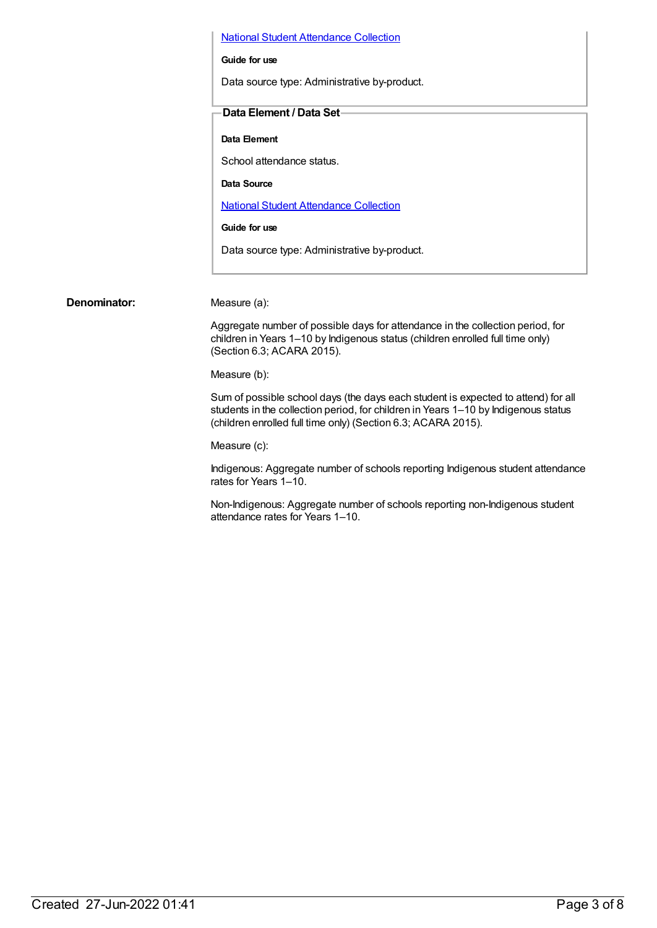National Student [Attendance](https://meteor.aihw.gov.au/content/493515) Collection

#### **Guide for use**

Data source type: Administrative by-product.

#### **Data Element / Data Set**

#### **Data Element**

School attendance status.

**Data Source**

National Student [Attendance](https://meteor.aihw.gov.au/content/493515) Collection

**Guide for use**

Data source type: Administrative by-product.

**Denominator:** Measure (a):

Aggregate number of possible days for attendance in the collection period, for children in Years 1–10 by Indigenous status (children enrolled full time only) (Section 6.3; ACARA 2015).

Measure (b):

Sum of possible school days (the days each student is expected to attend) for all students in the collection period, for children in Years 1–10 by Indigenous status (children enrolled full time only) (Section 6.3; ACARA 2015).

Measure (c):

Indigenous: Aggregate number of schools reporting Indigenous student attendance rates for Years 1–10.

Non-Indigenous: Aggregate number of schools reporting non-Indigenous student attendance rates for Years 1–10.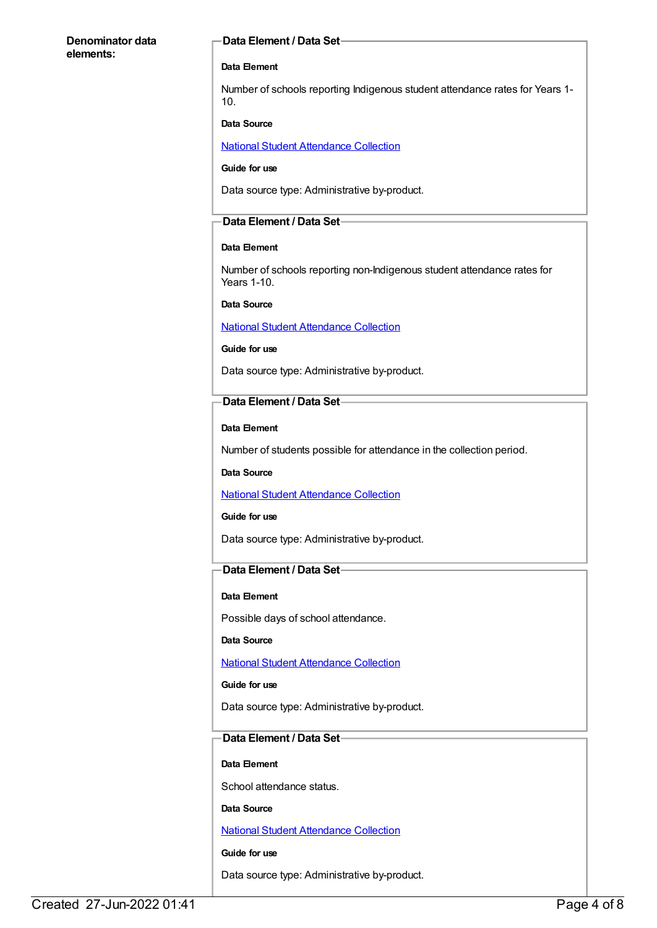#### **Denominator data elements:**

#### **Data Element / Data Set**

#### **Data Element**

Number of schools reporting Indigenous student attendance rates for Years 1- 10.

#### **Data Source**

National Student [Attendance](https://meteor.aihw.gov.au/content/493515) Collection

#### **Guide for use**

Data source type: Administrative by-product.

#### **Data Element / Data Set**

#### **Data Element**

Number of schools reporting non-Indigenous student attendance rates for Years 1-10.

#### **Data Source**

National Student [Attendance](https://meteor.aihw.gov.au/content/493515) Collection

#### **Guide for use**

Data source type: Administrative by-product.

#### **Data Element / Data Set**

#### **Data Element**

Number of students possible for attendance in the collection period.

#### **Data Source**

#### National Student [Attendance](https://meteor.aihw.gov.au/content/493515) Collection

#### **Guide for use**

Data source type: Administrative by-product.

#### **Data Element / Data Set**

#### **Data Element**

Possible days of school attendance.

#### **Data Source**

National Student [Attendance](https://meteor.aihw.gov.au/content/493515) Collection

#### **Guide for use**

Data source type: Administrative by-product.

#### **Data Element / Data Set**

#### **Data Element**

School attendance status.

#### **Data Source**

National Student [Attendance](https://meteor.aihw.gov.au/content/493515) Collection

#### **Guide for use**

Data source type: Administrative by-product.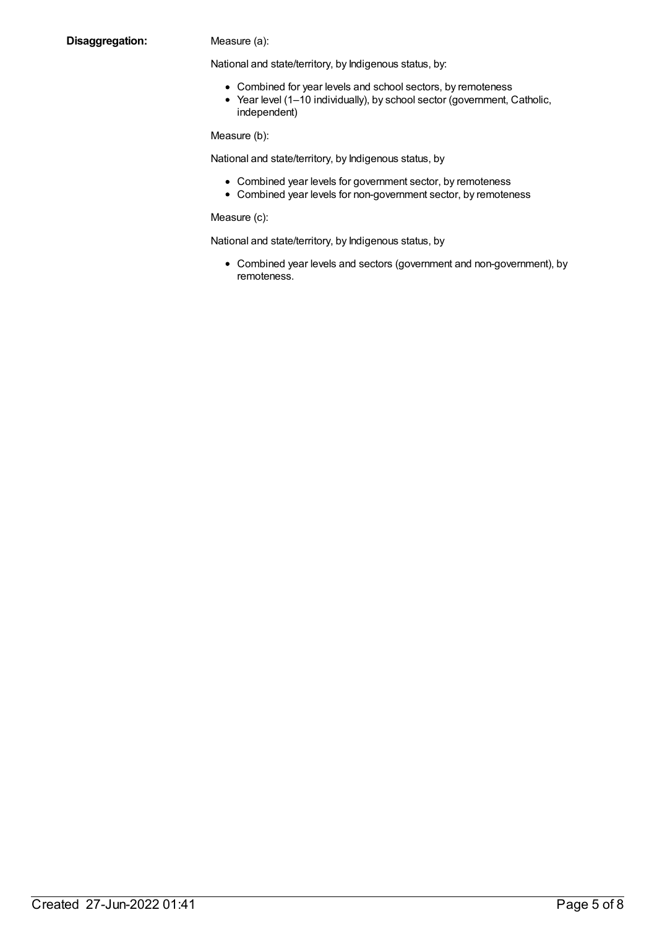#### **Disaggregation:** Measure (a):

National and state/territory, by Indigenous status, by:

- Combined for year levels and school sectors, by remoteness
- Year level (1-10 individually), by school sector (government, Catholic, independent)

Measure (b):

National and state/territory, by Indigenous status, by

- Combined year levels for government sector, by remoteness
- Combined year levels for non-government sector, by remoteness

Measure (c):

National and state/territory, by Indigenous status, by

Combined year levels and sectors (government and non-government), by remoteness.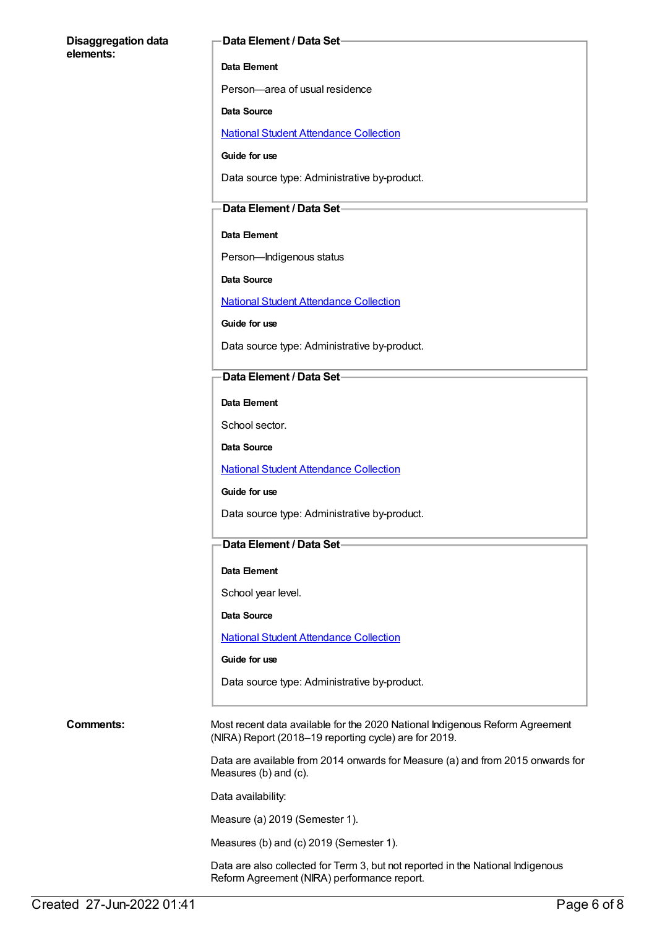#### **Disaggregation data elements:**

#### **Data Element / Data Set**

#### **Data Element**

Person—area of usual residence

#### **Data Source**

National Student [Attendance](https://meteor.aihw.gov.au/content/493515) Collection

**Guide for use**

Data source type: Administrative by-product.

#### **Data Element / Data Set**

#### **Data Element**

Person—Indigenous status

**Data Source**

National Student [Attendance](https://meteor.aihw.gov.au/content/493515) Collection

**Guide for use**

Data source type: Administrative by-product.

#### **Data Element / Data Set**

**Data Element**

School sector.

**Data Source**

National Student [Attendance](https://meteor.aihw.gov.au/content/493515) Collection

**Guide for use**

Data source type: Administrative by-product.

#### **Data Element / Data Set**

#### **Data Element**

School year level.

**Data Source**

National Student [Attendance](https://meteor.aihw.gov.au/content/493515) Collection

#### **Guide for use**

Data source type: Administrative by-product.

**Comments:** Most recent data available for the 2020 National Indigenous Reform Agreement (NIRA) Report (2018–19 reporting cycle) are for 2019.

> Data are available from 2014 onwards for Measure (a) and from 2015 onwards for Measures (b) and (c).

Data availability:

Measure (a) 2019 (Semester 1).

Measures (b) and (c) 2019 (Semester 1).

Data are also collected for Term 3, but not reported in the National Indigenous Reform Agreement (NIRA) performance report.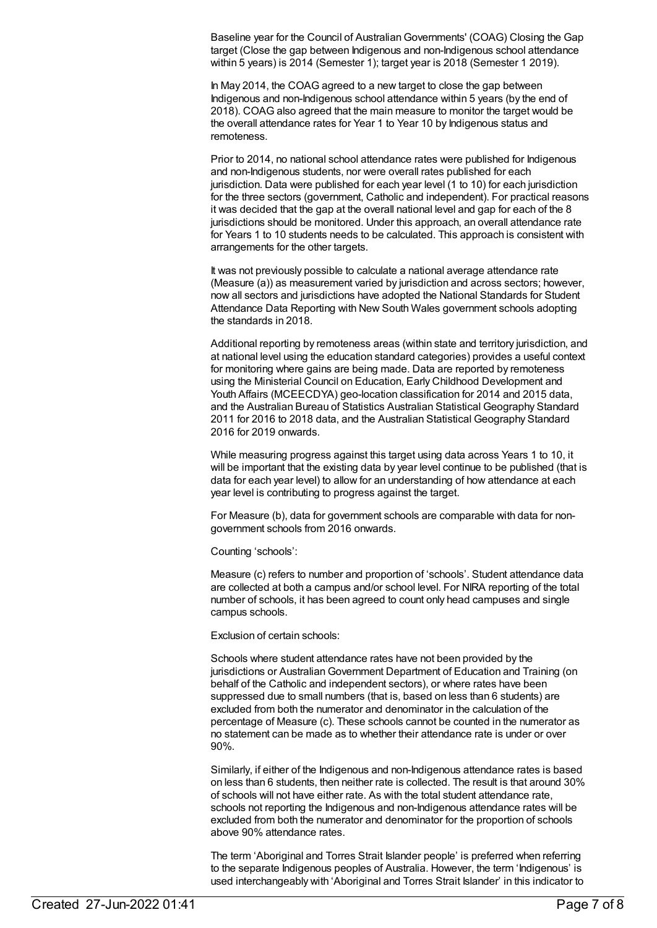Baseline year for the Council of AustralianGovernments' (COAG) Closing the Gap target (Close the gap between Indigenous and non-Indigenous school attendance within 5 years) is 2014 (Semester 1); target year is 2018 (Semester 1 2019).

In May 2014, the COAG agreed to a new target to close the gap between Indigenous and non-Indigenous school attendance within 5 years (by the end of 2018). COAG also agreed that the main measure to monitor the target would be the overall attendance rates for Year 1 to Year 10 by Indigenous status and remoteness.

Prior to 2014, no national school attendance rates were published for Indigenous and non-Indigenous students, nor were overall rates published for each jurisdiction. Data were published for each year level (1 to 10) for each jurisdiction for the three sectors (government, Catholic and independent). For practical reasons it was decided that the gap at the overall national level and gap for each of the 8 jurisdictions should be monitored. Under this approach, an overall attendance rate for Years 1 to 10 students needs to be calculated. This approach is consistent with arrangements for the other targets.

It was not previously possible to calculate a national average attendance rate (Measure (a)) as measurement varied by jurisdiction and across sectors; however, now all sectors and jurisdictions have adopted the National Standards for Student Attendance Data Reporting with New South Wales government schools adopting the standards in 2018.

Additional reporting by remoteness areas (within state and territory jurisdiction, and at national level using the education standard categories) provides a useful context for monitoring where gains are being made. Data are reported by remoteness using the Ministerial Council on Education, Early Childhood Development and Youth Affairs (MCEECDYA) geo-location classification for 2014 and 2015 data, and the Australian Bureau of Statistics Australian Statistical Geography Standard 2011 for 2016 to 2018 data, and the Australian Statistical Geography Standard 2016 for 2019 onwards.

While measuring progress against this target using data across Years 1 to 10, it will be important that the existing data by year level continue to be published (that is data for each year level) to allow for an understanding of how attendance at each year level is contributing to progress against the target.

For Measure (b), data for government schools are comparable with data for nongovernment schools from 2016 onwards.

Counting 'schools':

Measure (c) refers to number and proportion of 'schools'. Student attendance data are collected at both a campus and/or school level. For NIRA reporting of the total number of schools, it has been agreed to count only head campuses and single campus schools.

Exclusion of certain schools:

Schools where student attendance rates have not been provided by the jurisdictions or AustralianGovernment Department of Education and Training (on behalf of the Catholic and independent sectors), or where rates have been suppressed due to small numbers (that is, based on less than 6 students) are excluded from both the numerator and denominator in the calculation of the percentage of Measure (c). These schools cannot be counted in the numerator as no statement can be made as to whether their attendance rate is under or over 90%.

Similarly, if either of the Indigenous and non-Indigenous attendance rates is based on less than 6 students, then neither rate is collected. The result is that around 30% of schools will not have either rate. As with the total student attendance rate, schools not reporting the Indigenous and non-Indigenous attendance rates will be excluded from both the numerator and denominator for the proportion of schools above 90% attendance rates.

The term 'Aboriginal and Torres Strait Islander people' is preferred when referring to the separate Indigenous peoples of Australia. However, the term 'Indigenous' is used interchangeably with 'Aboriginal and Torres Strait Islander' in this indicator to